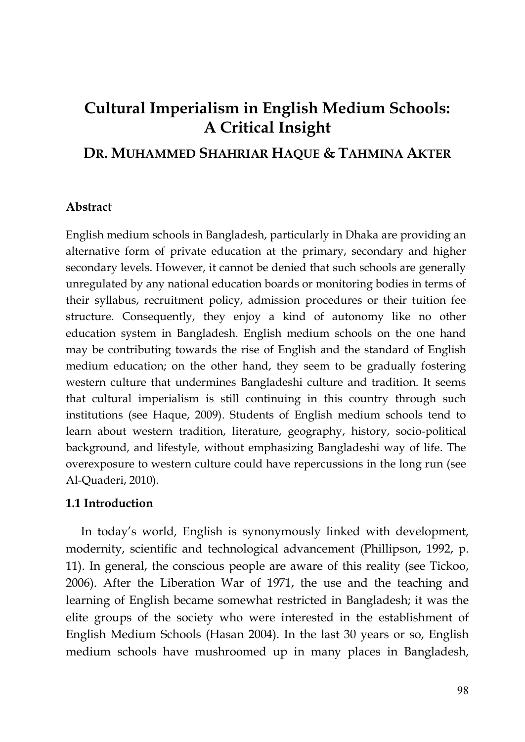# **Cultural Imperialism in English Medium Schools: A Critical Insight**

# **DR. MUHAMMED SHAHRIAR HAQUE & TAHMINA AKTER**

#### **Abstract**

English medium schools in Bangladesh, particularly in Dhaka are providing an alternative form of private education at the primary, secondary and higher secondary levels. However, it cannot be denied that such schools are generally unregulated by any national education boards or monitoring bodies in terms of their syllabus, recruitment policy, admission procedures or their tuition fee structure. Consequently, they enjoy a kind of autonomy like no other education system in Bangladesh. English medium schools on the one hand may be contributing towards the rise of English and the standard of English medium education; on the other hand, they seem to be gradually fostering western culture that undermines Bangladeshi culture and tradition. It seems that cultural imperialism is still continuing in this country through such institutions (see Haque, 2009). Students of English medium schools tend to learn about western tradition, literature, geography, history, socio-political background, and lifestyle, without emphasizing Bangladeshi way of life. The overexposure to western culture could have repercussions in the long run (see Al-Quaderi, 2010).

## **1.1 Introduction**

In today's world, English is synonymously linked with development, modernity, scientific and technological advancement (Phillipson, 1992, p. 11). In general, the conscious people are aware of this reality (see Tickoo, 2006). After the Liberation War of 1971, the use and the teaching and learning of English became somewhat restricted in Bangladesh; it was the elite groups of the society who were interested in the establishment of English Medium Schools (Hasan 2004). In the last 30 years or so, English medium schools have mushroomed up in many places in Bangladesh,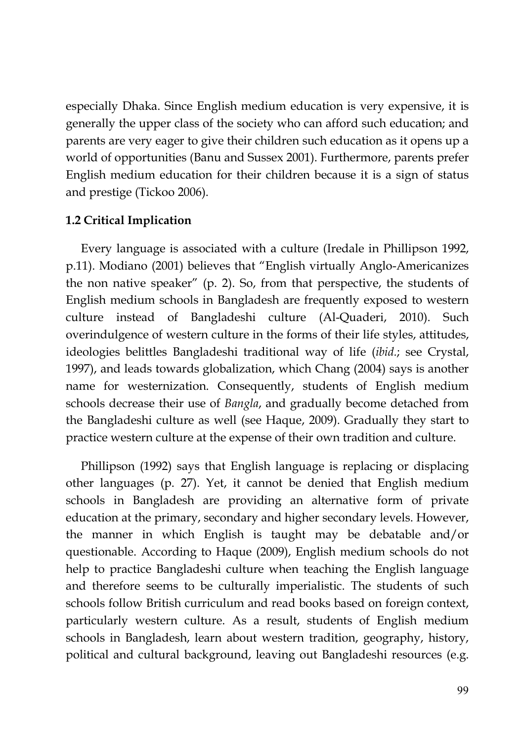especially Dhaka. Since English medium education is very expensive, it is generally the upper class of the society who can afford such education; and parents are very eager to give their children such education as it opens up a world of opportunities (Banu and Sussex 2001). Furthermore, parents prefer English medium education for their children because it is a sign of status and prestige (Tickoo 2006).

## **1.2 Critical Implication**

Every language is associated with a culture (Iredale in Phillipson 1992, p.11). Modiano (2001) believes that "English virtually Anglo-Americanizes the non native speaker" (p. 2). So, from that perspective, the students of English medium schools in Bangladesh are frequently exposed to western culture instead of Bangladeshi culture (Al-Quaderi, 2010). Such overindulgence of western culture in the forms of their life styles, attitudes, ideologies belittles Bangladeshi traditional way of life (*ibid.*; see Crystal, 1997), and leads towards globalization, which Chang (2004) says is another name for westernization. Consequently, students of English medium schools decrease their use of *Bangla*, and gradually become detached from the Bangladeshi culture as well (see Haque, 2009). Gradually they start to practice western culture at the expense of their own tradition and culture.

Phillipson (1992) says that English language is replacing or displacing other languages (p. 27). Yet, it cannot be denied that English medium schools in Bangladesh are providing an alternative form of private education at the primary, secondary and higher secondary levels. However, the manner in which English is taught may be debatable and/or questionable. According to Haque (2009), English medium schools do not help to practice Bangladeshi culture when teaching the English language and therefore seems to be culturally imperialistic. The students of such schools follow British curriculum and read books based on foreign context, particularly western culture. As a result, students of English medium schools in Bangladesh, learn about western tradition, geography, history, political and cultural background, leaving out Bangladeshi resources (e.g.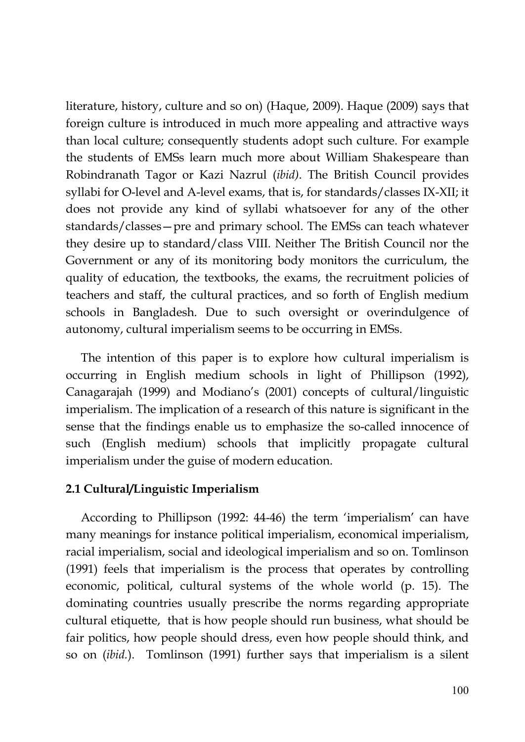literature, history, culture and so on) (Haque, 2009). Haque (2009) says that foreign culture is introduced in much more appealing and attractive ways than local culture; consequently students adopt such culture. For example the students of EMSs learn much more about William Shakespeare than Robindranath Tagor or Kazi Nazrul (*ibid)*. The British Council provides syllabi for O-level and A-level exams, that is, for standards/classes IX-XII; it does not provide any kind of syllabi whatsoever for any of the other standards/classes—pre and primary school. The EMSs can teach whatever they desire up to standard/class VIII. Neither The British Council nor the Government or any of its monitoring body monitors the curriculum, the quality of education, the textbooks, the exams, the recruitment policies of teachers and staff, the cultural practices, and so forth of English medium schools in Bangladesh. Due to such oversight or overindulgence of autonomy, cultural imperialism seems to be occurring in EMSs.

The intention of this paper is to explore how cultural imperialism is occurring in English medium schools in light of Phillipson (1992), Canagarajah (1999) and Modiano's (2001) concepts of cultural/linguistic imperialism. The implication of a research of this nature is significant in the sense that the findings enable us to emphasize the so-called innocence of such (English medium) schools that implicitly propagate cultural imperialism under the guise of modern education.

## **2.1 Cultural/Linguistic Imperialism**

According to Phillipson (1992: 44-46) the term 'imperialism' can have many meanings for instance political imperialism, economical imperialism, racial imperialism, social and ideological imperialism and so on. Tomlinson (1991) feels that imperialism is the process that operates by controlling economic, political, cultural systems of the whole world (p. 15). The dominating countries usually prescribe the norms regarding appropriate cultural etiquette, that is how people should run business, what should be fair politics, how people should dress, even how people should think, and so on (*ibid.*). Tomlinson (1991) further says that imperialism is a silent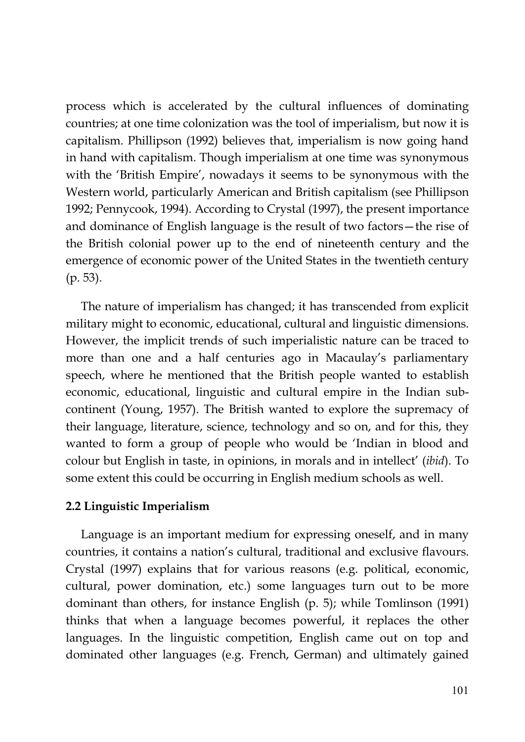process which is accelerated by the cultural influences of dominating countries; at one time colonization was the tool of imperialism, but now it is capitalism. Phillipson (1992) believes that, imperialism is now going hand in hand with capitalism. Though imperialism at one time was synonymous with the 'British Empire', nowadays it seems to be synonymous with the Western world, particularly American and British capitalism (see Phillipson 1992; Pennycook, 1994). According to Crystal (1997), the present importance and dominance of English language is the result of two factors—the rise of the British colonial power up to the end of nineteenth century and the emergence of economic power of the United States in the twentieth century (p. 53).

The nature of imperialism has changed; it has transcended from explicit military might to economic, educational, cultural and linguistic dimensions. However, the implicit trends of such imperialistic nature can be traced to more than one and a half centuries ago in Macaulay's parliamentary speech, where he mentioned that the British people wanted to establish economic, educational, linguistic and cultural empire in the Indian subcontinent (Young, 1957). The British wanted to explore the supremacy of their language, literature, science, technology and so on, and for this, they wanted to form a group of people who would be 'Indian in blood and colour but English in taste, in opinions, in morals and in intellect' (*ibid*). To some extent this could be occurring in English medium schools as well.

# **2.2 Linguistic Imperialism**

Language is an important medium for expressing oneself, and in many countries, it contains a nation's cultural, traditional and exclusive flavours. Crystal (1997) explains that for various reasons (e.g. political, economic, cultural, power domination, etc.) some languages turn out to be more dominant than others, for instance English (p. 5); while Tomlinson (1991) thinks that when a language becomes powerful, it replaces the other languages. In the linguistic competition, English came out on top and dominated other languages (e.g. French, German) and ultimately gained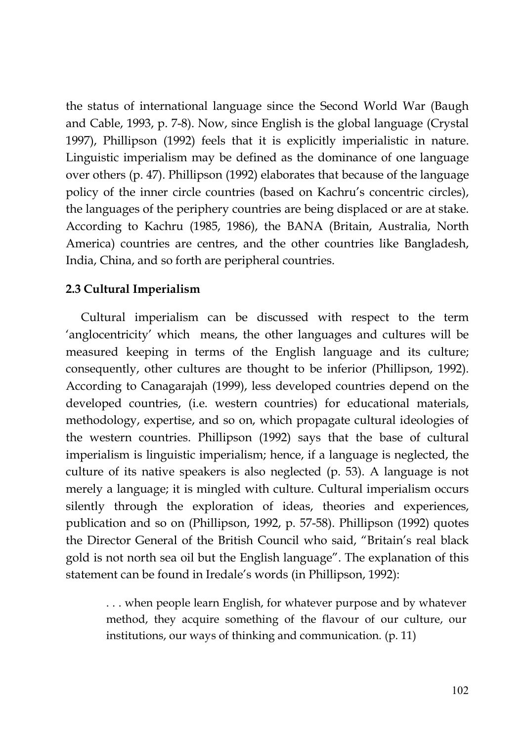the status of international language since the Second World War (Baugh and Cable, 1993, p. 7-8). Now, since English is the global language (Crystal 1997), Phillipson (1992) feels that it is explicitly imperialistic in nature. Linguistic imperialism may be defined as the dominance of one language over others (p. 47). Phillipson (1992) elaborates that because of the language policy of the inner circle countries (based on Kachru's concentric circles), the languages of the periphery countries are being displaced or are at stake. According to Kachru (1985, 1986), the BANA (Britain, Australia, North America) countries are centres, and the other countries like Bangladesh, India, China, and so forth are peripheral countries.

# **2.3 Cultural Imperialism**

Cultural imperialism can be discussed with respect to the term 'anglocentricity' which means, the other languages and cultures will be measured keeping in terms of the English language and its culture; consequently, other cultures are thought to be inferior (Phillipson, 1992). According to Canagarajah (1999), less developed countries depend on the developed countries, (i.e. western countries) for educational materials, methodology, expertise, and so on, which propagate cultural ideologies of the western countries. Phillipson (1992) says that the base of cultural imperialism is linguistic imperialism; hence, if a language is neglected, the culture of its native speakers is also neglected (p. 53). A language is not merely a language; it is mingled with culture. Cultural imperialism occurs silently through the exploration of ideas, theories and experiences, publication and so on (Phillipson, 1992, p. 57-58). Phillipson (1992) quotes the Director General of the British Council who said, "Britain's real black gold is not north sea oil but the English language". The explanation of this statement can be found in Iredale's words (in Phillipson, 1992):

. . . when people learn English, for whatever purpose and by whatever method, they acquire something of the flavour of our culture, our institutions, our ways of thinking and communication. (p. 11)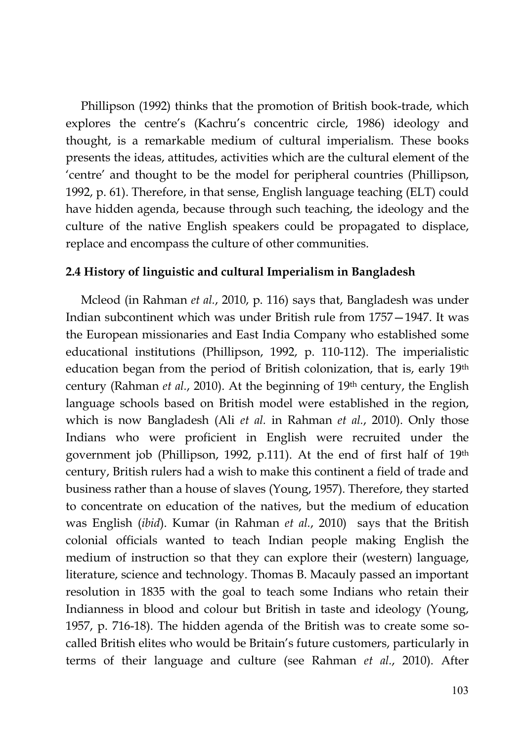Phillipson (1992) thinks that the promotion of British book-trade, which explores the centre's (Kachru's concentric circle, 1986) ideology and thought, is a remarkable medium of cultural imperialism. These books presents the ideas, attitudes, activities which are the cultural element of the 'centre' and thought to be the model for peripheral countries (Phillipson, 1992, p. 61). Therefore, in that sense, English language teaching (ELT) could have hidden agenda, because through such teaching, the ideology and the culture of the native English speakers could be propagated to displace, replace and encompass the culture of other communities.

#### **2.4 History of linguistic and cultural Imperialism in Bangladesh**

Mcleod (in Rahman *et al.*, 2010, p. 116) says that, Bangladesh was under Indian subcontinent which was under British rule from 1757—1947. It was the European missionaries and East India Company who established some educational institutions (Phillipson, 1992, p. 110-112). The imperialistic education began from the period of British colonization, that is, early 19<sup>th</sup> century (Rahman *et al.*, 2010). At the beginning of 19th century, the English language schools based on British model were established in the region, which is now Bangladesh (Ali *et al.* in Rahman *et al.*, 2010). Only those Indians who were proficient in English were recruited under the government job (Phillipson, 1992, p.111). At the end of first half of 19th century, British rulers had a wish to make this continent a field of trade and business rather than a house of slaves (Young, 1957). Therefore, they started to concentrate on education of the natives, but the medium of education was English (*ibid*). Kumar (in Rahman *et al.*, 2010) says that the British colonial officials wanted to teach Indian people making English the medium of instruction so that they can explore their (western) language, literature, science and technology. Thomas B. Macauly passed an important resolution in 1835 with the goal to teach some Indians who retain their Indianness in blood and colour but British in taste and ideology (Young, 1957, p. 716-18). The hidden agenda of the British was to create some socalled British elites who would be Britain's future customers, particularly in terms of their language and culture (see Rahman *et al.*, 2010). After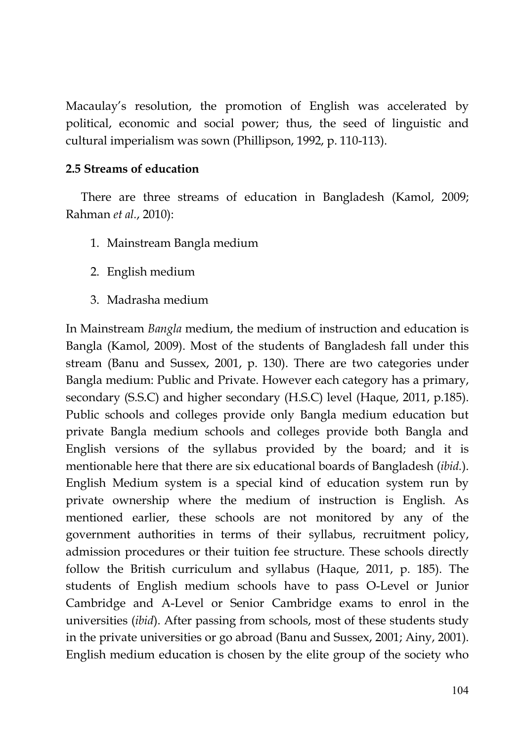Macaulay's resolution, the promotion of English was accelerated by political, economic and social power; thus, the seed of linguistic and cultural imperialism was sown (Phillipson, 1992, p. 110-113).

## **2.5 Streams of education**

There are three streams of education in Bangladesh (Kamol, 2009; Rahman *et al.*, 2010):

- 1. Mainstream Bangla medium
- 2. English medium
- 3. Madrasha medium

In Mainstream *Bangla* medium, the medium of instruction and education is Bangla (Kamol, 2009). Most of the students of Bangladesh fall under this stream (Banu and Sussex, 2001, p. 130). There are two categories under Bangla medium: Public and Private. However each category has a primary, secondary (S.S.C) and higher secondary (H.S.C) level (Haque, 2011, p.185). Public schools and colleges provide only Bangla medium education but private Bangla medium schools and colleges provide both Bangla and English versions of the syllabus provided by the board; and it is mentionable here that there are six educational boards of Bangladesh (*ibid.*). English Medium system is a special kind of education system run by private ownership where the medium of instruction is English. As mentioned earlier, these schools are not monitored by any of the government authorities in terms of their syllabus, recruitment policy, admission procedures or their tuition fee structure. These schools directly follow the British curriculum and syllabus (Haque, 2011, p. 185). The students of English medium schools have to pass O-Level or Junior Cambridge and A-Level or Senior Cambridge exams to enrol in the universities (*ibid*). After passing from schools, most of these students study in the private universities or go abroad (Banu and Sussex, 2001; Ainy, 2001). English medium education is chosen by the elite group of the society who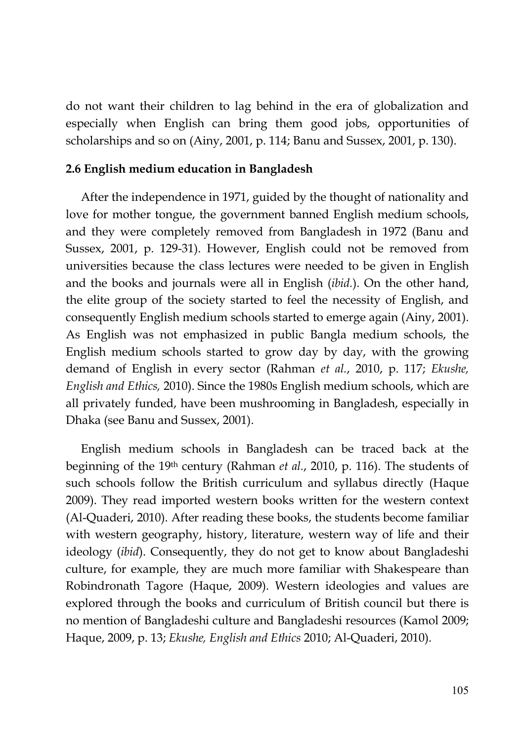do not want their children to lag behind in the era of globalization and especially when English can bring them good jobs, opportunities of scholarships and so on (Ainy, 2001, p. 114; Banu and Sussex, 2001, p. 130).

## **2.6 English medium education in Bangladesh**

After the independence in 1971, guided by the thought of nationality and love for mother tongue, the government banned English medium schools, and they were completely removed from Bangladesh in 1972 (Banu and Sussex, 2001, p. 129-31). However, English could not be removed from universities because the class lectures were needed to be given in English and the books and journals were all in English (*ibid.*). On the other hand, the elite group of the society started to feel the necessity of English, and consequently English medium schools started to emerge again (Ainy, 2001). As English was not emphasized in public Bangla medium schools, the English medium schools started to grow day by day, with the growing demand of English in every sector (Rahman *et al.*, 2010, p. 117; *Ekushe, English and Ethics,* 2010). Since the 1980s English medium schools, which are all privately funded, have been mushrooming in Bangladesh, especially in Dhaka (see Banu and Sussex, 2001).

English medium schools in Bangladesh can be traced back at the beginning of the 19th century (Rahman *et al.*, 2010, p. 116). The students of such schools follow the British curriculum and syllabus directly (Haque 2009). They read imported western books written for the western context (Al-Quaderi, 2010). After reading these books, the students become familiar with western geography, history, literature, western way of life and their ideology (*ibid*). Consequently, they do not get to know about Bangladeshi culture, for example, they are much more familiar with Shakespeare than Robindronath Tagore (Haque, 2009). Western ideologies and values are explored through the books and curriculum of British council but there is no mention of Bangladeshi culture and Bangladeshi resources (Kamol 2009; Haque, 2009, p. 13; *Ekushe, English and Ethics* 2010; Al-Quaderi, 2010).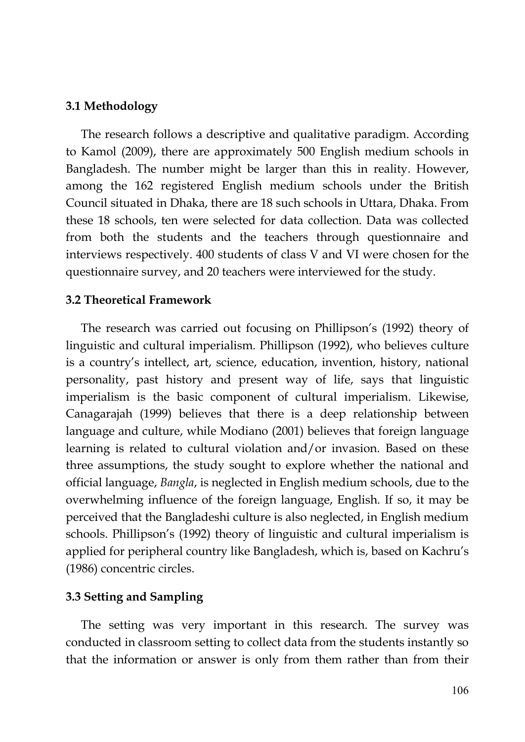## **3.1 Methodology**

The research follows a descriptive and qualitative paradigm. According to Kamol (2009), there are approximately 500 English medium schools in Bangladesh. The number might be larger than this in reality. However, among the 162 registered English medium schools under the British Council situated in Dhaka, there are 18 such schools in Uttara, Dhaka. From these 18 schools, ten were selected for data collection. Data was collected from both the students and the teachers through questionnaire and interviews respectively. 400 students of class V and VI were chosen for the questionnaire survey, and 20 teachers were interviewed for the study.

## **3.2 Theoretical Framework**

The research was carried out focusing on Phillipson's (1992) theory of linguistic and cultural imperialism. Phillipson (1992), who believes culture is a country's intellect, art, science, education, invention, history, national personality, past history and present way of life, says that linguistic imperialism is the basic component of cultural imperialism. Likewise, Canagarajah (1999) believes that there is a deep relationship between language and culture, while Modiano (2001) believes that foreign language learning is related to cultural violation and/or invasion. Based on these three assumptions, the study sought to explore whether the national and official language, *Bangla*, is neglected in English medium schools, due to the overwhelming influence of the foreign language, English. If so, it may be perceived that the Bangladeshi culture is also neglected, in English medium schools. Phillipson's (1992) theory of linguistic and cultural imperialism is applied for peripheral country like Bangladesh, which is, based on Kachru's (1986) concentric circles.

## **3.3 Setting and Sampling**

The setting was very important in this research. The survey was conducted in classroom setting to collect data from the students instantly so that the information or answer is only from them rather than from their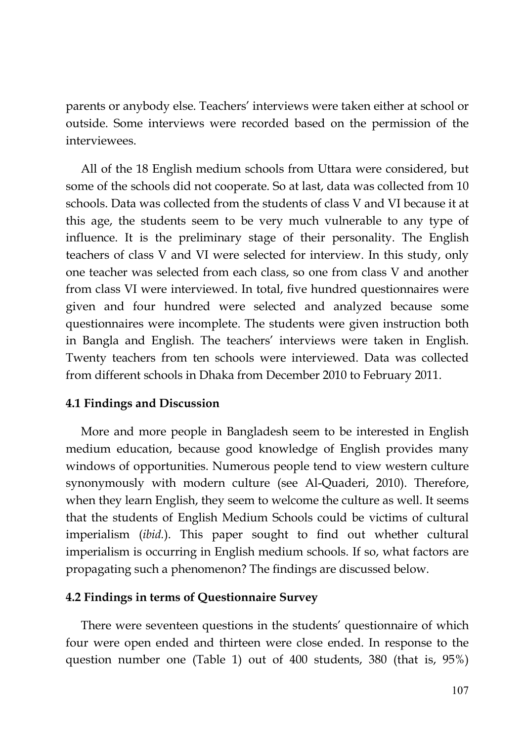parents or anybody else. Teachers' interviews were taken either at school or outside. Some interviews were recorded based on the permission of the interviewees.

All of the 18 English medium schools from Uttara were considered, but some of the schools did not cooperate. So at last, data was collected from 10 schools. Data was collected from the students of class V and VI because it at this age, the students seem to be very much vulnerable to any type of influence. It is the preliminary stage of their personality. The English teachers of class V and VI were selected for interview. In this study, only one teacher was selected from each class, so one from class V and another from class VI were interviewed. In total, five hundred questionnaires were given and four hundred were selected and analyzed because some questionnaires were incomplete. The students were given instruction both in Bangla and English. The teachers' interviews were taken in English. Twenty teachers from ten schools were interviewed. Data was collected from different schools in Dhaka from December 2010 to February 2011.

#### **4.1 Findings and Discussion**

More and more people in Bangladesh seem to be interested in English medium education, because good knowledge of English provides many windows of opportunities. Numerous people tend to view western culture synonymously with modern culture (see Al-Quaderi, 2010). Therefore, when they learn English, they seem to welcome the culture as well. It seems that the students of English Medium Schools could be victims of cultural imperialism (*ibid.*). This paper sought to find out whether cultural imperialism is occurring in English medium schools. If so, what factors are propagating such a phenomenon? The findings are discussed below.

#### **4.2 Findings in terms of Questionnaire Survey**

There were seventeen questions in the students' questionnaire of which four were open ended and thirteen were close ended. In response to the question number one (Table 1) out of 400 students, 380 (that is, 95%)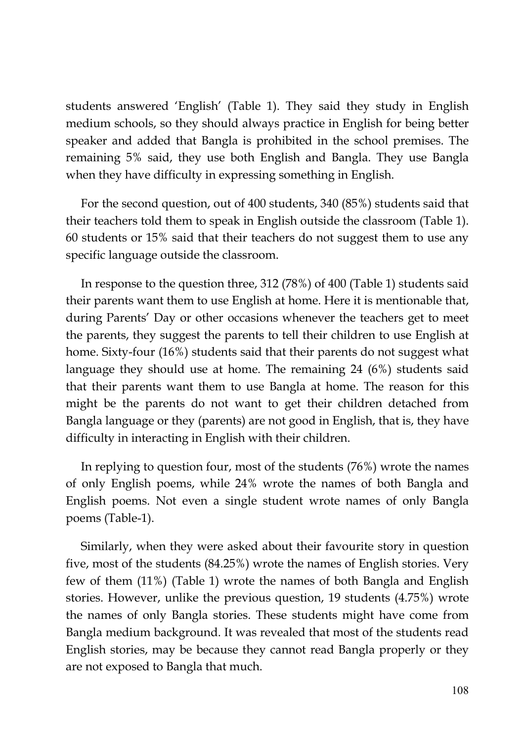students answered 'English' (Table 1). They said they study in English medium schools, so they should always practice in English for being better speaker and added that Bangla is prohibited in the school premises. The remaining 5% said, they use both English and Bangla. They use Bangla when they have difficulty in expressing something in English.

For the second question, out of 400 students, 340 (85%) students said that their teachers told them to speak in English outside the classroom (Table 1). 60 students or 15% said that their teachers do not suggest them to use any specific language outside the classroom.

In response to the question three, 312 (78%) of 400 (Table 1) students said their parents want them to use English at home. Here it is mentionable that, during Parents' Day or other occasions whenever the teachers get to meet the parents, they suggest the parents to tell their children to use English at home. Sixty-four (16%) students said that their parents do not suggest what language they should use at home. The remaining 24 (6%) students said that their parents want them to use Bangla at home. The reason for this might be the parents do not want to get their children detached from Bangla language or they (parents) are not good in English, that is, they have difficulty in interacting in English with their children.

In replying to question four, most of the students (76%) wrote the names of only English poems, while 24% wrote the names of both Bangla and English poems. Not even a single student wrote names of only Bangla poems (Table-1).

Similarly, when they were asked about their favourite story in question five, most of the students (84.25%) wrote the names of English stories. Very few of them (11%) (Table 1) wrote the names of both Bangla and English stories. However, unlike the previous question, 19 students (4.75%) wrote the names of only Bangla stories. These students might have come from Bangla medium background. It was revealed that most of the students read English stories, may be because they cannot read Bangla properly or they are not exposed to Bangla that much.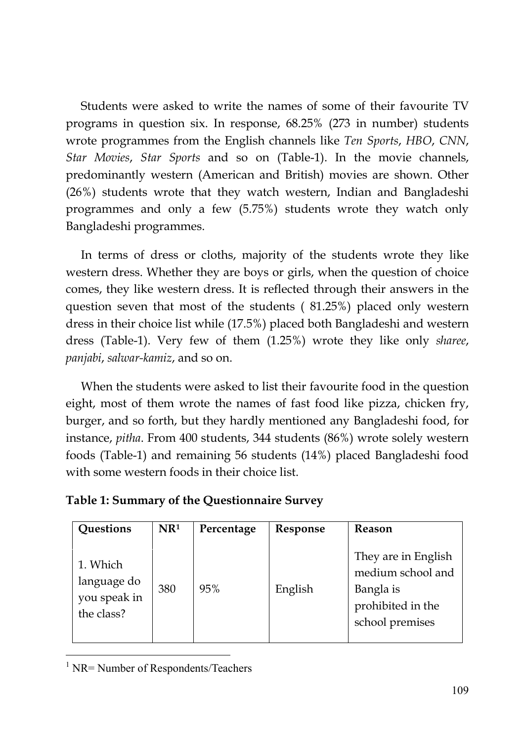Students were asked to write the names of some of their favourite TV programs in question six. In response, 68.25% (273 in number) students wrote programmes from the English channels like *Ten Sports*, *HBO*, *CNN*, *Star Movies*, *Star Sports* and so on (Table-1). In the movie channels, predominantly western (American and British) movies are shown. Other (26%) students wrote that they watch western, Indian and Bangladeshi programmes and only a few (5.75%) students wrote they watch only Bangladeshi programmes.

In terms of dress or cloths, majority of the students wrote they like western dress. Whether they are boys or girls, when the question of choice comes, they like western dress. It is reflected through their answers in the question seven that most of the students ( 81.25%) placed only western dress in their choice list while (17.5%) placed both Bangladeshi and western dress (Table-1). Very few of them (1.25%) wrote they like only *sharee*, *panjabi*, *salwar-kamiz*, and so on.

When the students were asked to list their favourite food in the question eight, most of them wrote the names of fast food like pizza, chicken fry, burger, and so forth, but they hardly mentioned any Bangladeshi food, for instance, *pitha*. From 400 students, 344 students (86%) wrote solely western foods (Table-1) and remaining 56 students (14%) placed Bangladeshi food with some western foods in their choice list.

| Table 1: Summary of the Questionnaire Survey |  |  |  |
|----------------------------------------------|--|--|--|
|----------------------------------------------|--|--|--|

| Questions                                             | NR <sup>1</sup> | Percentage | Response | <b>Reason</b>                                                                                 |
|-------------------------------------------------------|-----------------|------------|----------|-----------------------------------------------------------------------------------------------|
| 1. Which<br>language do<br>you speak in<br>the class? | 380             | 95%        | English  | They are in English<br>medium school and<br>Bangla is<br>prohibited in the<br>school premises |

 $<sup>1</sup>$  NR= Number of Respondents/Teachers</sup>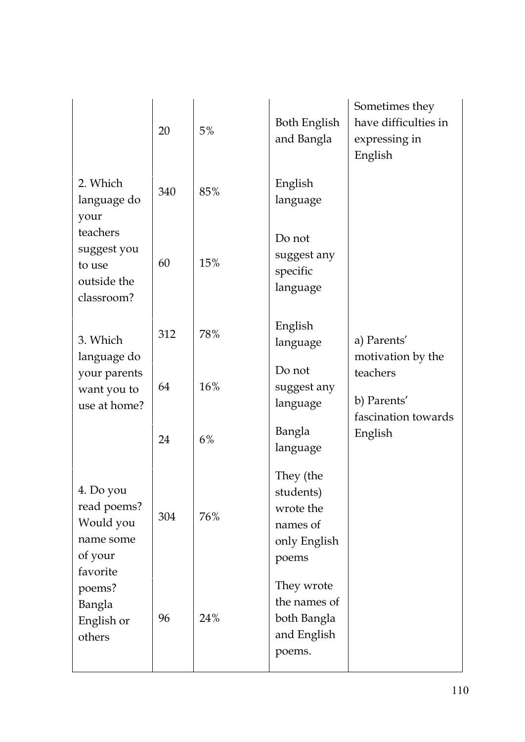|                                                                                                                                                                      | 20  | 5%  | <b>Both English</b><br>and Bangla                                        | Sometimes they<br>have difficulties in<br>expressing in<br>English |
|----------------------------------------------------------------------------------------------------------------------------------------------------------------------|-----|-----|--------------------------------------------------------------------------|--------------------------------------------------------------------|
| 2. Which<br>language do<br>your                                                                                                                                      | 340 | 85% | English<br>language                                                      |                                                                    |
| teachers<br>suggest you<br>to use<br>outside the<br>classroom?                                                                                                       | 60  | 15% | Do not<br>suggest any<br>specific<br>language                            |                                                                    |
| 3. Which<br>language do                                                                                                                                              | 312 | 78% | English<br>language                                                      | a) Parents'<br>motivation by the                                   |
| your parents<br>want you to<br>use at home?<br>4. Do you<br>read poems?<br>Would you<br>name some<br>of your<br>favorite<br>poems?<br>Bangla<br>English or<br>others | 64  | 16% | Do not<br>suggest any<br>language                                        | teachers<br>b) Parents'<br>fascination towards                     |
|                                                                                                                                                                      | 24  | 6%  | Bangla<br>language                                                       | English                                                            |
|                                                                                                                                                                      | 304 | 76% | They (the<br>students)<br>wrote the<br>names of<br>only English<br>poems |                                                                    |
|                                                                                                                                                                      | 96  | 24% | They wrote<br>the names of<br>both Bangla<br>and English<br>poems.       |                                                                    |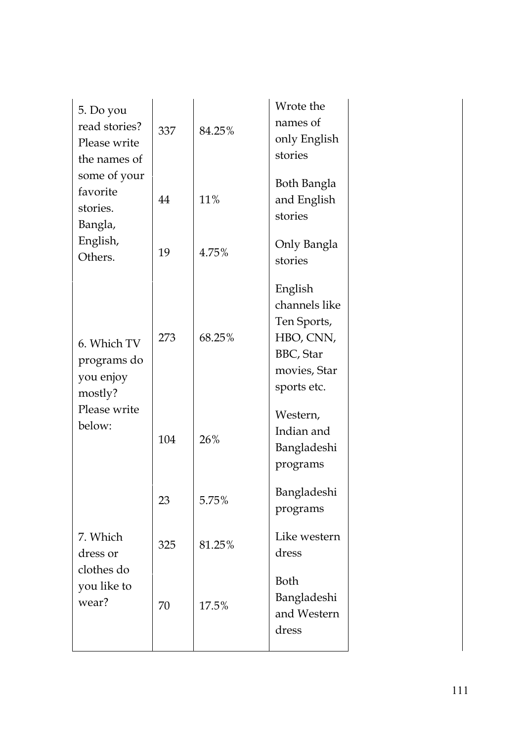| 5. Do you<br>read stories?<br>Please write<br>the names of<br>some of your   | 337 | 84.25% | Wrote the<br>names of<br>only English<br>stories                                                         |
|------------------------------------------------------------------------------|-----|--------|----------------------------------------------------------------------------------------------------------|
| favorite<br>stories.<br>Bangla,                                              | 44  | 11%    | Both Bangla<br>and English<br>stories                                                                    |
| English,<br>Others.                                                          | 19  | 4.75%  | Only Bangla<br>stories                                                                                   |
| 6. Which TV<br>programs do<br>you enjoy<br>mostly?<br>Please write<br>below: | 273 | 68.25% | English<br>channels like<br>Ten Sports,<br>HBO, CNN,<br><b>BBC</b> , Star<br>movies, Star<br>sports etc. |
|                                                                              | 104 | 26%    | Western,<br>Indian and<br>Bangladeshi<br>programs                                                        |
|                                                                              | 23  | 5.75%  | Bangladeshi<br>programs                                                                                  |
| 7. Which<br>dress or                                                         | 325 | 81.25% | Like western<br>dress                                                                                    |
| clothes do<br>you like to<br>wear?                                           | 70  | 17.5%  | Both<br>Bangladeshi<br>and Western<br>dress                                                              |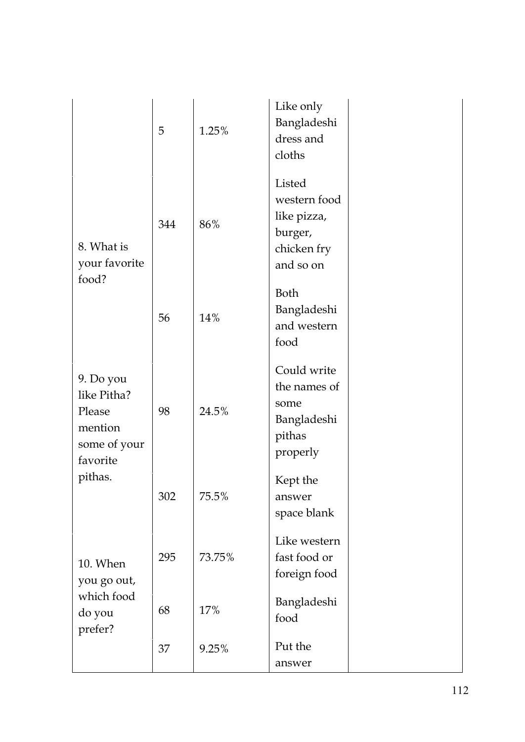|                                                                           | 5   | 1.25%  | Like only<br>Bangladeshi<br>dress and<br>cloths                              |  |
|---------------------------------------------------------------------------|-----|--------|------------------------------------------------------------------------------|--|
| 8. What is<br>your favorite<br>food?                                      | 344 | 86%    | Listed<br>western food<br>like pizza,<br>burger,<br>chicken fry<br>and so on |  |
|                                                                           | 56  | 14%    | Both<br>Bangladeshi<br>and western<br>food                                   |  |
| 9. Do you<br>like Pitha?<br>Please<br>mention<br>some of your<br>favorite | 98  | 24.5%  | Could write<br>the names of<br>some<br>Bangladeshi<br>pithas<br>properly     |  |
| pithas.                                                                   | 302 | 75.5%  | Kept the<br>answer<br>space blank                                            |  |
| 10. When<br>you go out,                                                   | 295 | 73.75% | Like western<br>fast food or<br>foreign food                                 |  |
| which food<br>do you<br>prefer?                                           | 68  | 17%    | Bangladeshi<br>food                                                          |  |
|                                                                           | 37  | 9.25%  | Put the<br>answer                                                            |  |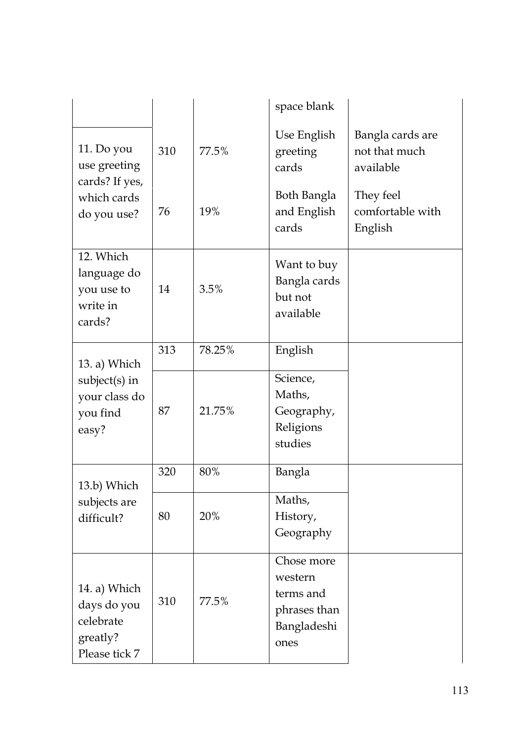|                                                                            |           |              | space blank                                                               |                                                                                            |
|----------------------------------------------------------------------------|-----------|--------------|---------------------------------------------------------------------------|--------------------------------------------------------------------------------------------|
| 11. Do you<br>use greeting<br>cards? If yes,<br>which cards<br>do you use? | 310<br>76 | 77.5%<br>19% | Use English<br>greeting<br>cards<br>Both Bangla<br>and English<br>cards   | Bangla cards are<br>not that much<br>available<br>They feel<br>comfortable with<br>English |
| 12. Which<br>language do<br>you use to<br>write in<br>cards?               | 14        | 3.5%         | Want to buy<br>Bangla cards<br>but not<br>available                       |                                                                                            |
| 13. a) Which                                                               | 313       | 78.25%       | English                                                                   |                                                                                            |
| subject(s) in<br>your class do<br>you find<br>easy?                        | 87        | 21.75%       | Science,<br>Maths,<br>Geography,<br>Religions<br>studies                  |                                                                                            |
| 13.b) Which                                                                | 320       | 80%          | Bangla                                                                    |                                                                                            |
| subjects are<br>difficult?                                                 | 80        | 20%          | Maths,<br>History,<br>Geography                                           |                                                                                            |
| 14. a) Which<br>days do you<br>celebrate<br>greatly?<br>Please tick 7      | 310       | 77.5%        | Chose more<br>western<br>terms and<br>phrases than<br>Bangladeshi<br>ones |                                                                                            |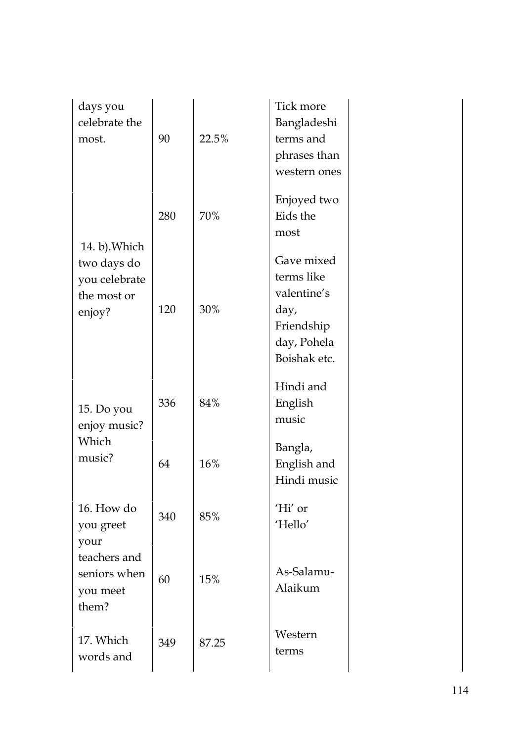| days you             |     |       | Tick more    |  |
|----------------------|-----|-------|--------------|--|
| celebrate the        |     |       | Bangladeshi  |  |
| most.                | 90  | 22.5% | terms and    |  |
|                      |     |       | phrases than |  |
|                      |     |       | western ones |  |
|                      |     |       |              |  |
|                      |     |       | Enjoyed two  |  |
|                      | 280 | 70%   | Eids the     |  |
| 14. b). Which        |     |       | most         |  |
| two days do          |     |       | Gave mixed   |  |
| you celebrate        |     |       | terms like   |  |
| the most or          |     |       | valentine's  |  |
| enjoy?               | 120 | 30%   | day,         |  |
|                      |     |       | Friendship   |  |
|                      |     |       | day, Pohela  |  |
|                      |     |       | Boishak etc. |  |
|                      |     |       |              |  |
|                      |     |       | Hindi and    |  |
| 15. Do you           | 336 | 84%   | English      |  |
| enjoy music?         |     |       | music        |  |
| Which                |     |       | Bangla,      |  |
| music?               | 64  | 16%   | English and  |  |
|                      |     |       | Hindi music  |  |
|                      |     |       |              |  |
| 16. How do           | 340 | 85%   | 'Hi' or      |  |
| you greet            |     |       | 'Hello'      |  |
| your<br>teachers and |     |       |              |  |
| seniors when         |     |       | As-Salamu-   |  |
| you meet             | 60  | 15%   | Alaikum      |  |
| them?                |     |       |              |  |
|                      |     |       |              |  |
| 17. Which            | 349 | 87.25 | Western      |  |
| words and            |     |       | terms        |  |
|                      |     |       |              |  |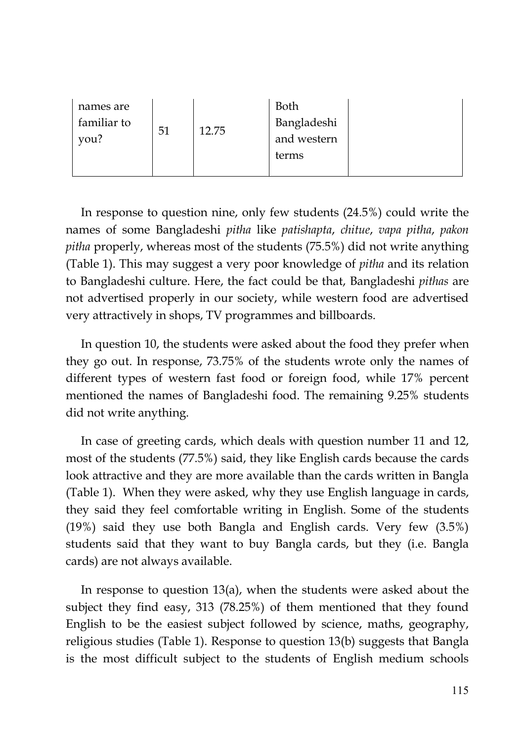| names are   |             | Both        |  |
|-------------|-------------|-------------|--|
| familiar to |             | Bangladeshi |  |
| you?        | 12.75<br>51 | and western |  |
|             |             | terms       |  |
|             |             |             |  |

In response to question nine, only few students (24.5%) could write the names of some Bangladeshi *pitha* like *patishapta*, *chitue*, *vapa pitha*, *pakon pitha* properly, whereas most of the students (75.5%) did not write anything (Table 1). This may suggest a very poor knowledge of *pitha* and its relation to Bangladeshi culture. Here, the fact could be that, Bangladeshi *pithas* are not advertised properly in our society, while western food are advertised very attractively in shops, TV programmes and billboards.

In question 10, the students were asked about the food they prefer when they go out. In response, 73.75% of the students wrote only the names of different types of western fast food or foreign food, while 17% percent mentioned the names of Bangladeshi food. The remaining 9.25% students did not write anything.

In case of greeting cards, which deals with question number 11 and 12, most of the students (77.5%) said, they like English cards because the cards look attractive and they are more available than the cards written in Bangla (Table 1). When they were asked, why they use English language in cards, they said they feel comfortable writing in English. Some of the students (19%) said they use both Bangla and English cards. Very few (3.5%) students said that they want to buy Bangla cards, but they (i.e. Bangla cards) are not always available.

In response to question 13(a), when the students were asked about the subject they find easy, 313 (78.25%) of them mentioned that they found English to be the easiest subject followed by science, maths, geography, religious studies (Table 1). Response to question 13(b) suggests that Bangla is the most difficult subject to the students of English medium schools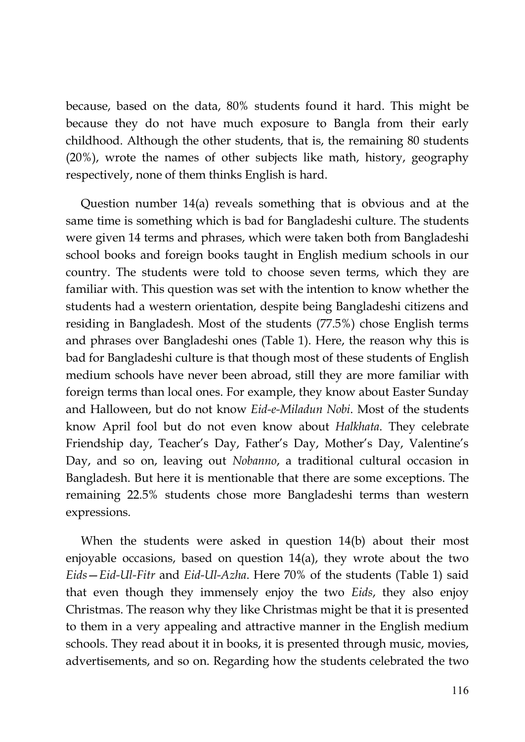because, based on the data, 80% students found it hard. This might be because they do not have much exposure to Bangla from their early childhood. Although the other students, that is, the remaining 80 students (20%), wrote the names of other subjects like math, history, geography respectively, none of them thinks English is hard.

Question number 14(a) reveals something that is obvious and at the same time is something which is bad for Bangladeshi culture. The students were given 14 terms and phrases, which were taken both from Bangladeshi school books and foreign books taught in English medium schools in our country. The students were told to choose seven terms, which they are familiar with. This question was set with the intention to know whether the students had a western orientation, despite being Bangladeshi citizens and residing in Bangladesh. Most of the students (77.5%) chose English terms and phrases over Bangladeshi ones (Table 1). Here, the reason why this is bad for Bangladeshi culture is that though most of these students of English medium schools have never been abroad, still they are more familiar with foreign terms than local ones. For example, they know about Easter Sunday and Halloween, but do not know *Eid-e-Miladun Nobi*. Most of the students know April fool but do not even know about *Halkhata*. They celebrate Friendship day, Teacher's Day, Father's Day, Mother's Day, Valentine's Day, and so on, leaving out *Nobanno*, a traditional cultural occasion in Bangladesh. But here it is mentionable that there are some exceptions. The remaining 22.5% students chose more Bangladeshi terms than western expressions.

When the students were asked in question 14(b) about their most enjoyable occasions, based on question  $14(a)$ , they wrote about the two *Eids*—*Eid-Ul-Fitr* and *Eid-Ul-Azha*. Here 70% of the students (Table 1) said that even though they immensely enjoy the two *Eids*, they also enjoy Christmas. The reason why they like Christmas might be that it is presented to them in a very appealing and attractive manner in the English medium schools. They read about it in books, it is presented through music, movies, advertisements, and so on. Regarding how the students celebrated the two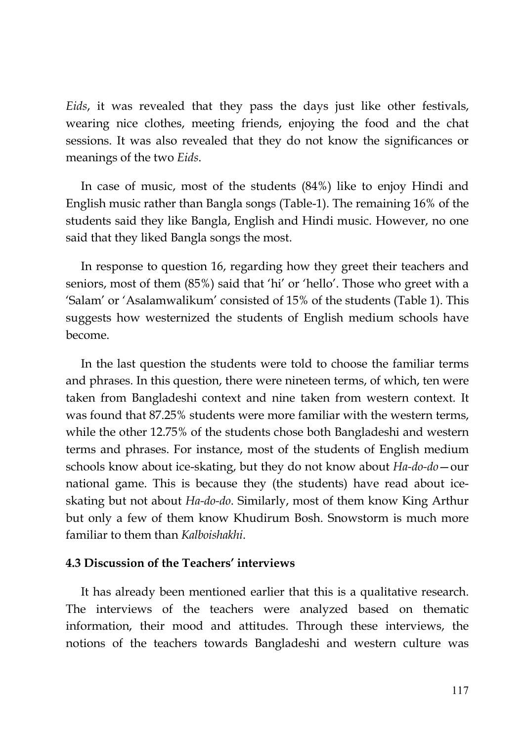*Eids*, it was revealed that they pass the days just like other festivals, wearing nice clothes, meeting friends, enjoying the food and the chat sessions. It was also revealed that they do not know the significances or meanings of the two *Eids*.

In case of music, most of the students (84%) like to enjoy Hindi and English music rather than Bangla songs (Table-1). The remaining 16% of the students said they like Bangla, English and Hindi music. However, no one said that they liked Bangla songs the most.

In response to question 16, regarding how they greet their teachers and seniors, most of them (85%) said that 'hi' or 'hello'. Those who greet with a 'Salam' or 'Asalamwalikum' consisted of 15% of the students (Table 1). This suggests how westernized the students of English medium schools have become.

In the last question the students were told to choose the familiar terms and phrases. In this question, there were nineteen terms, of which, ten were taken from Bangladeshi context and nine taken from western context. It was found that 87.25% students were more familiar with the western terms, while the other 12.75% of the students chose both Bangladeshi and western terms and phrases. For instance, most of the students of English medium schools know about ice-skating, but they do not know about *Ha-do-do*—our national game. This is because they (the students) have read about iceskating but not about *Ha-do-do*. Similarly, most of them know King Arthur but only a few of them know Khudirum Bosh. Snowstorm is much more familiar to them than *Kalboishakhi*.

## **4.3 Discussion of the Teachers' interviews**

It has already been mentioned earlier that this is a qualitative research. The interviews of the teachers were analyzed based on thematic information, their mood and attitudes. Through these interviews, the notions of the teachers towards Bangladeshi and western culture was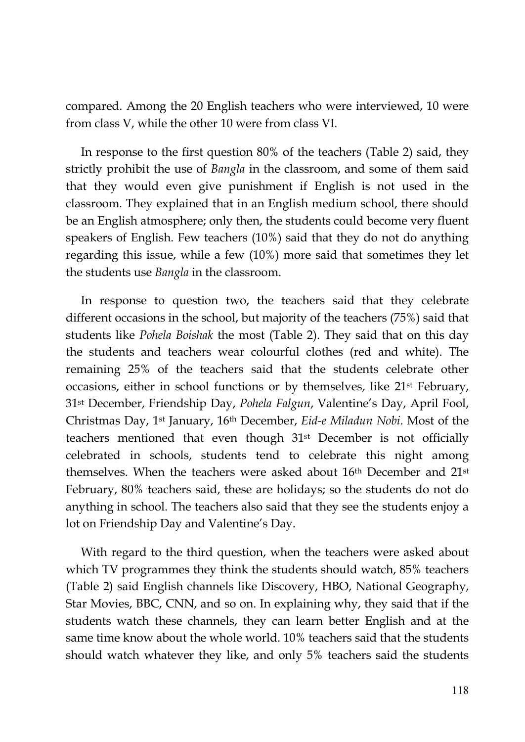compared. Among the 20 English teachers who were interviewed, 10 were from class V, while the other 10 were from class VI.

In response to the first question 80% of the teachers (Table 2) said, they strictly prohibit the use of *Bangla* in the classroom, and some of them said that they would even give punishment if English is not used in the classroom. They explained that in an English medium school, there should be an English atmosphere; only then, the students could become very fluent speakers of English. Few teachers (10%) said that they do not do anything regarding this issue, while a few (10%) more said that sometimes they let the students use *Bangla* in the classroom.

In response to question two, the teachers said that they celebrate different occasions in the school, but majority of the teachers (75%) said that students like *Pohela Boishak* the most (Table 2). They said that on this day the students and teachers wear colourful clothes (red and white). The remaining 25% of the teachers said that the students celebrate other occasions, either in school functions or by themselves, like 21st February, 31st December, Friendship Day, *Pohela Falgun*, Valentine's Day, April Fool, Christmas Day, 1st January, 16th December, *Eid-e Miladun Nobi*. Most of the teachers mentioned that even though 31st December is not officially celebrated in schools, students tend to celebrate this night among themselves. When the teachers were asked about  $16<sup>th</sup>$  December and  $21<sup>st</sup>$ February, 80% teachers said, these are holidays; so the students do not do anything in school. The teachers also said that they see the students enjoy a lot on Friendship Day and Valentine's Day.

With regard to the third question, when the teachers were asked about which TV programmes they think the students should watch, 85% teachers (Table 2) said English channels like Discovery, HBO, National Geography, Star Movies, BBC, CNN, and so on. In explaining why, they said that if the students watch these channels, they can learn better English and at the same time know about the whole world. 10% teachers said that the students should watch whatever they like, and only 5% teachers said the students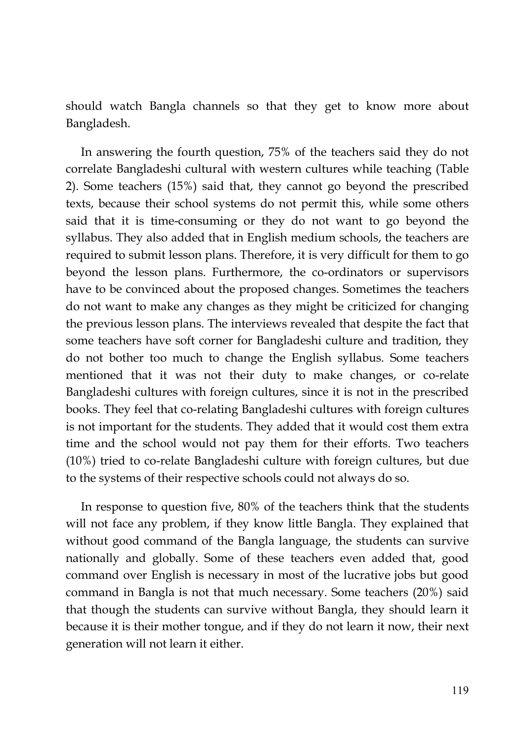should watch Bangla channels so that they get to know more about Bangladesh.

In answering the fourth question, 75% of the teachers said they do not correlate Bangladeshi cultural with western cultures while teaching (Table 2). Some teachers (15%) said that, they cannot go beyond the prescribed texts, because their school systems do not permit this, while some others said that it is time-consuming or they do not want to go beyond the syllabus. They also added that in English medium schools, the teachers are required to submit lesson plans. Therefore, it is very difficult for them to go beyond the lesson plans. Furthermore, the co-ordinators or supervisors have to be convinced about the proposed changes. Sometimes the teachers do not want to make any changes as they might be criticized for changing the previous lesson plans. The interviews revealed that despite the fact that some teachers have soft corner for Bangladeshi culture and tradition, they do not bother too much to change the English syllabus. Some teachers mentioned that it was not their duty to make changes, or co-relate Bangladeshi cultures with foreign cultures, since it is not in the prescribed books. They feel that co-relating Bangladeshi cultures with foreign cultures is not important for the students. They added that it would cost them extra time and the school would not pay them for their efforts. Two teachers (10%) tried to co-relate Bangladeshi culture with foreign cultures, but due to the systems of their respective schools could not always do so.

In response to question five, 80% of the teachers think that the students will not face any problem, if they know little Bangla. They explained that without good command of the Bangla language, the students can survive nationally and globally. Some of these teachers even added that, good command over English is necessary in most of the lucrative jobs but good command in Bangla is not that much necessary. Some teachers (20%) said that though the students can survive without Bangla, they should learn it because it is their mother tongue, and if they do not learn it now, their next generation will not learn it either.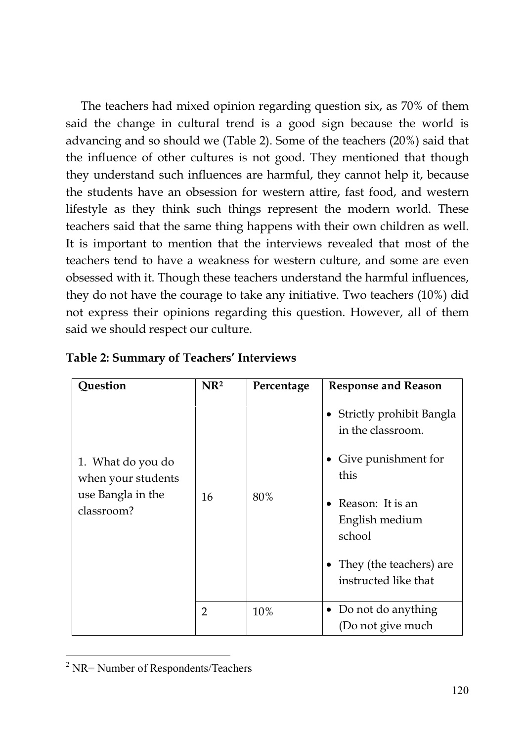The teachers had mixed opinion regarding question six, as 70% of them said the change in cultural trend is a good sign because the world is advancing and so should we (Table 2). Some of the teachers (20%) said that the influence of other cultures is not good. They mentioned that though they understand such influences are harmful, they cannot help it, because the students have an obsession for western attire, fast food, and western lifestyle as they think such things represent the modern world. These teachers said that the same thing happens with their own children as well. It is important to mention that the interviews revealed that most of the teachers tend to have a weakness for western culture, and some are even obsessed with it. Though these teachers understand the harmful influences, they do not have the courage to take any initiative. Two teachers (10%) did not express their opinions regarding this question. However, all of them said we should respect our culture.

| Question                                                                   | NR <sup>2</sup> | Percentage | <b>Response and Reason</b>                                                                                                                                                            |
|----------------------------------------------------------------------------|-----------------|------------|---------------------------------------------------------------------------------------------------------------------------------------------------------------------------------------|
| 1. What do you do<br>when your students<br>use Bangla in the<br>classroom? | 16              | 80%        | • Strictly prohibit Bangla<br>in the classroom.<br>• Give punishment for<br>this<br>Reason: It is an<br>English medium<br>school<br>• They (the teachers) are<br>instructed like that |
|                                                                            | 2               | 10%        | Do not do anything<br>$\bullet$<br>(Do not give much                                                                                                                                  |

# **Table 2: Summary of Teachers' Interviews**

 $2$  NR= Number of Respondents/Teachers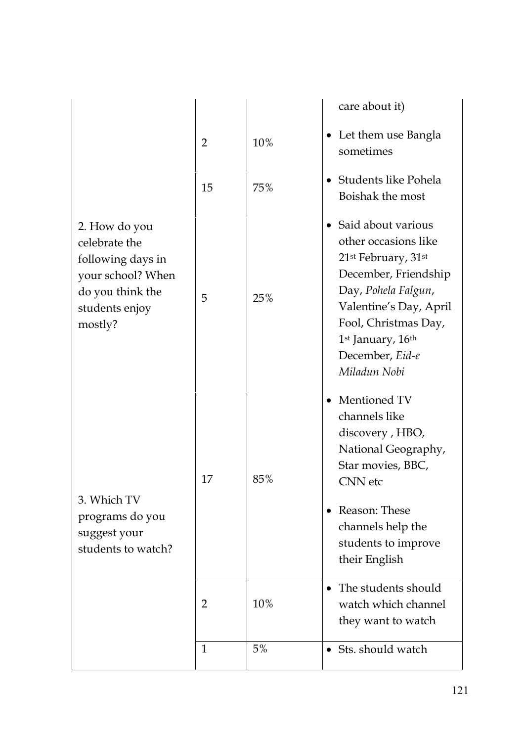|                                                                                                                           |    |     | care about it)                                                                                                                                                                                                                                       |
|---------------------------------------------------------------------------------------------------------------------------|----|-----|------------------------------------------------------------------------------------------------------------------------------------------------------------------------------------------------------------------------------------------------------|
|                                                                                                                           | 2  | 10% | • Let them use Bangla<br>sometimes                                                                                                                                                                                                                   |
|                                                                                                                           | 15 | 75% | • Students like Pohela<br>Boishak the most                                                                                                                                                                                                           |
| 2. How do you<br>celebrate the<br>following days in<br>your school? When<br>do you think the<br>students enjoy<br>mostly? | 5  | 25% | • Said about various<br>other occasions like<br>21 <sup>st</sup> February, 31 <sup>st</sup><br>December, Friendship<br>Day, Pohela Falgun,<br>Valentine's Day, April<br>Fool, Christmas Day,<br>1st January, 16th<br>December, Eid-e<br>Miladun Nobi |
| 3. Which TV<br>programs do you<br>suggest your<br>students to watch?                                                      | 17 | 85% | • Mentioned TV<br>channels like<br>discovery, HBO,<br>National Geography,<br>Star movies, BBC,<br>CNN etc<br>Reason: These<br>$\bullet$<br>channels help the<br>students to improve<br>their English                                                 |
|                                                                                                                           | 2  | 10% | The students should<br>$\bullet$<br>watch which channel<br>they want to watch                                                                                                                                                                        |
|                                                                                                                           | 1  | 5%  | Sts. should watch                                                                                                                                                                                                                                    |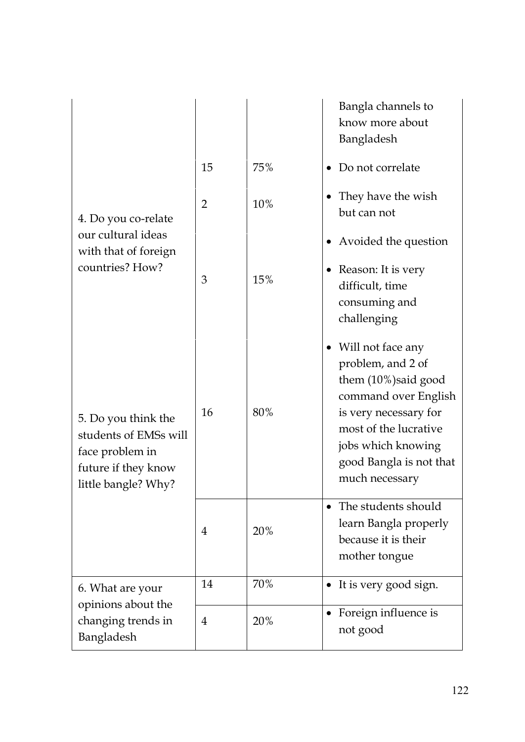|                                                                                                               | 15             | 75% | Bangla channels to<br>know more about<br>Bangladesh<br>Do not correlate                                                                                                                                    |
|---------------------------------------------------------------------------------------------------------------|----------------|-----|------------------------------------------------------------------------------------------------------------------------------------------------------------------------------------------------------------|
| 4. Do you co-relate<br>our cultural ideas<br>with that of foreign<br>countries? How?                          | $\overline{2}$ | 10% | They have the wish<br>but can not                                                                                                                                                                          |
|                                                                                                               | 3              | 15% | Avoided the question<br>Reason: It is very<br>difficult, time<br>consuming and<br>challenging                                                                                                              |
| 5. Do you think the<br>students of EMSs will<br>face problem in<br>future if they know<br>little bangle? Why? | 16             | 80% | Will not face any<br>problem, and 2 of<br>them (10%)said good<br>command over English<br>is very necessary for<br>most of the lucrative<br>jobs which knowing<br>good Bangla is not that<br>much necessary |
|                                                                                                               | 4              | 20% | The students should<br>learn Bangla properly<br>because it is their<br>mother tongue                                                                                                                       |
| 6. What are your                                                                                              | 14             | 70% | It is very good sign.                                                                                                                                                                                      |
| opinions about the<br>changing trends in<br>Bangladesh                                                        | 4              | 20% | • Foreign influence is<br>not good                                                                                                                                                                         |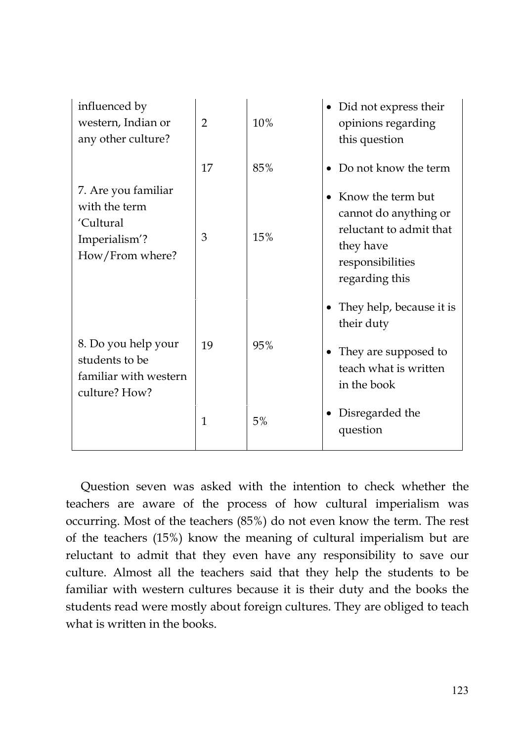| influenced by<br>western, Indian or<br>any other culture?                             | $\mathfrak{D}$ | 10% | • Did not express their<br>opinions regarding<br>this question                                                             |
|---------------------------------------------------------------------------------------|----------------|-----|----------------------------------------------------------------------------------------------------------------------------|
|                                                                                       | 17             | 85% | Do not know the term                                                                                                       |
| 7. Are you familiar<br>with the term<br>'Cultural<br>Imperialism'?<br>How/From where? | 3              | 15% | • Know the term but<br>cannot do anything or<br>reluctant to admit that<br>they have<br>responsibilities<br>regarding this |
| 8. Do you help your<br>students to be<br>familiar with western<br>culture? How?       | 19             | 95% | They help, because it is<br>$\bullet$<br>their duty<br>They are supposed to<br>teach what is written<br>in the book        |
|                                                                                       | 1              | 5%  | Disregarded the<br>question                                                                                                |

Question seven was asked with the intention to check whether the teachers are aware of the process of how cultural imperialism was occurring. Most of the teachers (85%) do not even know the term. The rest of the teachers (15%) know the meaning of cultural imperialism but are reluctant to admit that they even have any responsibility to save our culture. Almost all the teachers said that they help the students to be familiar with western cultures because it is their duty and the books the students read were mostly about foreign cultures. They are obliged to teach what is written in the books.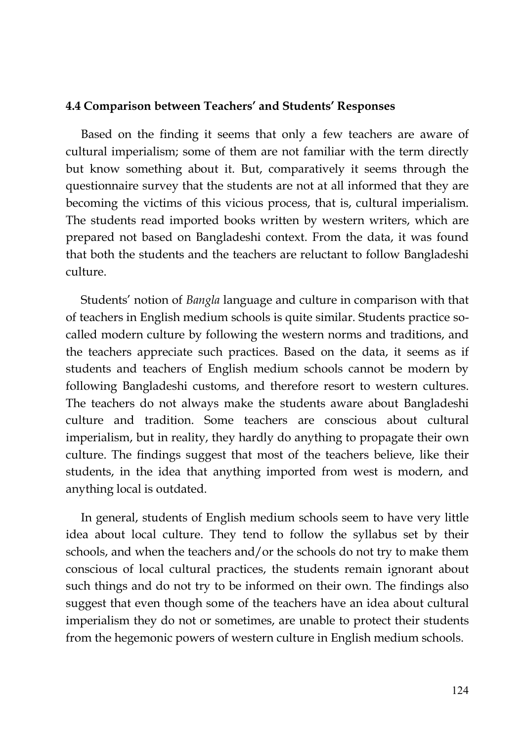#### **4.4 Comparison between Teachers' and Students' Responses**

Based on the finding it seems that only a few teachers are aware of cultural imperialism; some of them are not familiar with the term directly but know something about it. But, comparatively it seems through the questionnaire survey that the students are not at all informed that they are becoming the victims of this vicious process, that is, cultural imperialism. The students read imported books written by western writers, which are prepared not based on Bangladeshi context. From the data, it was found that both the students and the teachers are reluctant to follow Bangladeshi culture.

Students' notion of *Bangla* language and culture in comparison with that of teachers in English medium schools is quite similar. Students practice socalled modern culture by following the western norms and traditions, and the teachers appreciate such practices. Based on the data, it seems as if students and teachers of English medium schools cannot be modern by following Bangladeshi customs, and therefore resort to western cultures. The teachers do not always make the students aware about Bangladeshi culture and tradition. Some teachers are conscious about cultural imperialism, but in reality, they hardly do anything to propagate their own culture. The findings suggest that most of the teachers believe, like their students, in the idea that anything imported from west is modern, and anything local is outdated.

In general, students of English medium schools seem to have very little idea about local culture. They tend to follow the syllabus set by their schools, and when the teachers and/or the schools do not try to make them conscious of local cultural practices, the students remain ignorant about such things and do not try to be informed on their own. The findings also suggest that even though some of the teachers have an idea about cultural imperialism they do not or sometimes, are unable to protect their students from the hegemonic powers of western culture in English medium schools.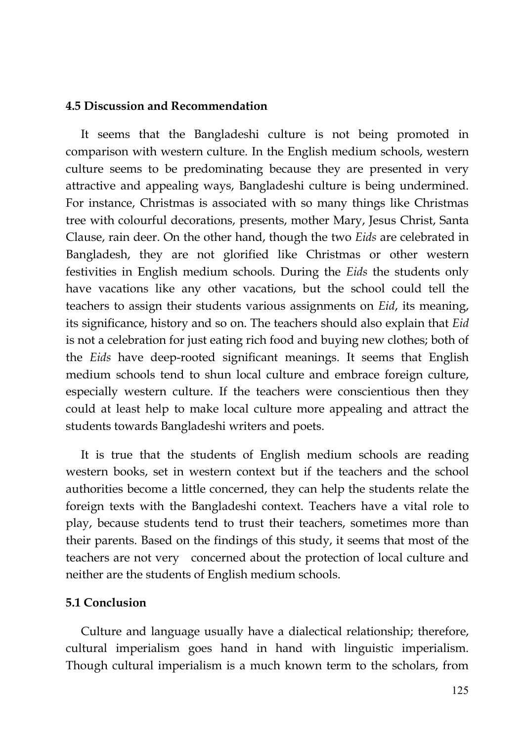## **4.5 Discussion and Recommendation**

It seems that the Bangladeshi culture is not being promoted in comparison with western culture. In the English medium schools, western culture seems to be predominating because they are presented in very attractive and appealing ways, Bangladeshi culture is being undermined. For instance, Christmas is associated with so many things like Christmas tree with colourful decorations, presents, mother Mary, Jesus Christ, Santa Clause, rain deer. On the other hand, though the two *Eids* are celebrated in Bangladesh, they are not glorified like Christmas or other western festivities in English medium schools. During the *Eids* the students only have vacations like any other vacations, but the school could tell the teachers to assign their students various assignments on *Eid*, its meaning, its significance, history and so on. The teachers should also explain that *Eid* is not a celebration for just eating rich food and buying new clothes; both of the *Eids* have deep-rooted significant meanings. It seems that English medium schools tend to shun local culture and embrace foreign culture, especially western culture. If the teachers were conscientious then they could at least help to make local culture more appealing and attract the students towards Bangladeshi writers and poets.

It is true that the students of English medium schools are reading western books, set in western context but if the teachers and the school authorities become a little concerned, they can help the students relate the foreign texts with the Bangladeshi context. Teachers have a vital role to play, because students tend to trust their teachers, sometimes more than their parents. Based on the findings of this study, it seems that most of the teachers are not very concerned about the protection of local culture and neither are the students of English medium schools.

#### **5.1 Conclusion**

Culture and language usually have a dialectical relationship; therefore, cultural imperialism goes hand in hand with linguistic imperialism. Though cultural imperialism is a much known term to the scholars, from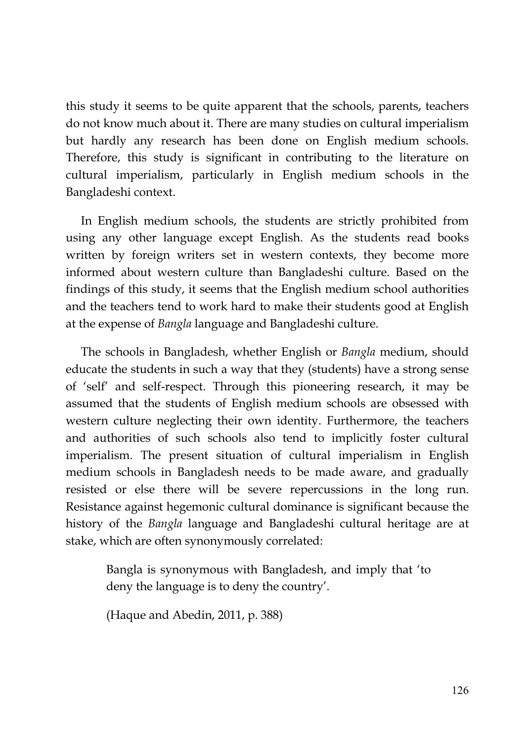this study it seems to be quite apparent that the schools, parents, teachers do not know much about it. There are many studies on cultural imperialism but hardly any research has been done on English medium schools. Therefore, this study is significant in contributing to the literature on cultural imperialism, particularly in English medium schools in the Bangladeshi context.

In English medium schools, the students are strictly prohibited from using any other language except English. As the students read books written by foreign writers set in western contexts, they become more informed about western culture than Bangladeshi culture. Based on the findings of this study, it seems that the English medium school authorities and the teachers tend to work hard to make their students good at English at the expense of *Bangla* language and Bangladeshi culture.

The schools in Bangladesh, whether English or *Bangla* medium, should educate the students in such a way that they (students) have a strong sense of 'self' and self-respect. Through this pioneering research, it may be assumed that the students of English medium schools are obsessed with western culture neglecting their own identity. Furthermore, the teachers and authorities of such schools also tend to implicitly foster cultural imperialism. The present situation of cultural imperialism in English medium schools in Bangladesh needs to be made aware, and gradually resisted or else there will be severe repercussions in the long run. Resistance against hegemonic cultural dominance is significant because the history of the *Bangla* language and Bangladeshi cultural heritage are at stake, which are often synonymously correlated:

> Bangla is synonymous with Bangladesh, and imply that 'to deny the language is to deny the country'.

(Haque and Abedin, 2011, p. 388)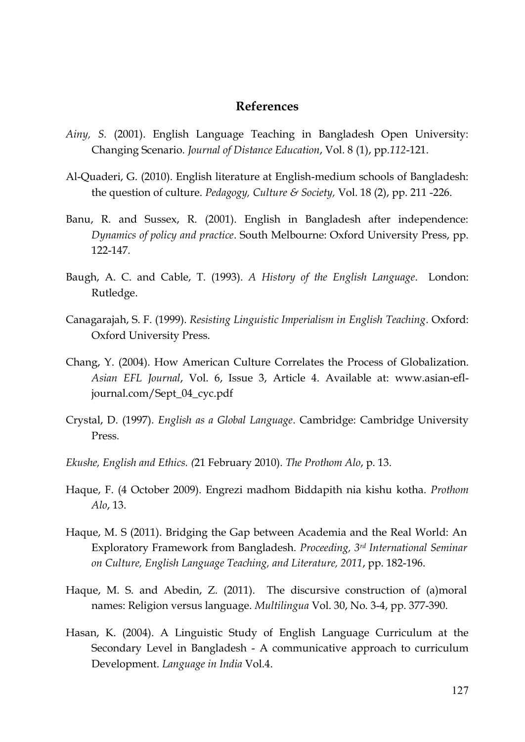#### **References**

- *Ainy, S.* (2001). English Language Teaching in Bangladesh Open University: Changing Scenario. *Journal of Distance Education*, Vol. 8 (1), pp.*112*-121.
- Al-Quaderi, G. (2010). English literature at English-medium schools of Bangladesh: the question of culture. *Pedagogy, Culture & Society,* Vol. 18 (2), pp. 211 -226.
- Banu, R. and Sussex, R. (2001). English in Bangladesh after independence: *Dynamics of policy and practice*. South Melbourne: Oxford University Press, pp. 122-147*.*
- Baugh, A. C. and Cable, T. (1993). *A History of the English Language*. London: Rutledge.
- Canagarajah, S. F. (1999). *Resisting Linguistic Imperialism in English Teaching*. Oxford: Oxford University Press.
- Chang, Y. (2004). How American Culture Correlates the Process of Globalization. *Asian EFL Journal*, Vol. 6, Issue 3, Article 4. Available at: [www.asian-efl](www.asian-efl-)journal.com/Sept\_04\_cyc.pdf
- Crystal, D. (1997). *English as a Global Language*. Cambridge: Cambridge University Press.
- *Ekushe, English and Ethics. (*21 February 2010). *The Prothom Alo*, p. 13.
- Haque, F. (4 October 2009). Engrezi madhom Biddapith nia kishu kotha*. Prothom Alo*, 13.
- Haque, M. S (2011). Bridging the Gap between Academia and the Real World: An Exploratory Framework from Bangladesh. *Proceeding, 3rd International Seminar on Culture, English Language Teaching, and Literature, 2011*, pp. 182-196.
- Haque, M. S. and Abedin, Z. (2011). The discursive construction of (a)moral names: Religion versus language. *Multilingua* Vol. 30, No. 3-4, pp. 377-390.
- Hasan, K. (2004). A Linguistic Study of English Language Curriculum at the Secondary Level in Bangladesh - A communicative approach to curriculum Development. *Language in India* Vol.4.